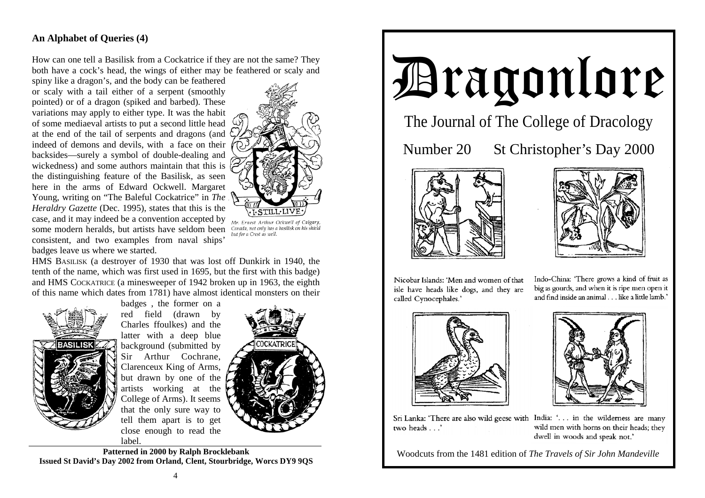## **An Alphabet of Queries (4)**

How can one tell a Basilisk from a Cockatrice if they are not the same? They both have a cock's head, the wings of either may be feathered or scaly and

spiny like a dragon's, and the body can be feathered or scaly with a tail either of a serpent (smoothly pointed) or of a dragon (spiked and barbed). These variations may apply to either type. It was the habit of some mediaeval artists to put a second little head at the end of the tail of serpents and dragons (and indeed of demons and devils, with a face on their backsides—surely a symbol of double-dealing and wickedness) and some authors maintain that this is  $\langle$ the distinguishing feature of the Basilisk, as seen here in the arms of Edward Ockwell. Margaret Young, writing on "The Baleful Cockatrice" in *The Heraldry Gazette* (Dec. 1995), states that this is the case, and it may indeed be a convention accepted by some modern heralds, but artists have seldom been consistent, and two examples from naval ships' badges leave us where we started.



Mr. Ernest Arthur Ockwell of Calgary, Canada, not only has a basilisk on his shield but for a Crest as well.

HMS BASILISK (a destroyer of 1930 that was lost off Dunkirk in 1940, the tenth of the name, which was first used in 1695, but the first with this badge) and HMS COCKATRICE (a minesweeper of 1942 broken up in 1963, the eighth of this name which dates from 1781) have almost identical monsters on their



badges , the former on a red field (drawn by Charles ffoulkes) and the latter with a deep blue background (submitted by Sir Arthur Cochrane, Clarenceux King of Arms, but drawn by one of the artists working at the College of Arms). It seems that the only sure way to tell them apart is to get close enough to read the label.



**Patterned in 2000 by Ralph Brocklebank Issued St David's Day 2002 from Orland, Clent, Stourbridge, Worcs DY9 9QS** 



The Journal of The College of Dracology

Number 20 St Christopher's Day 2000





Nicobar Islands: 'Men and women of that isle have heads like dogs, and they are called Cynocephales.'

Indo-China: 'There grows a kind of fruit as big as gourds, and when it is ripe men open it and find inside an animal . . . like a little lamb.'





Sri Lanka: 'There are also wild geese with India: '... in the wilderness are many two heads . . .'

wild men with horns on their heads; they dwell in woods and speak not.'

Woodcuts from the 1481 edition of *The Travels of Sir John Mandeville*